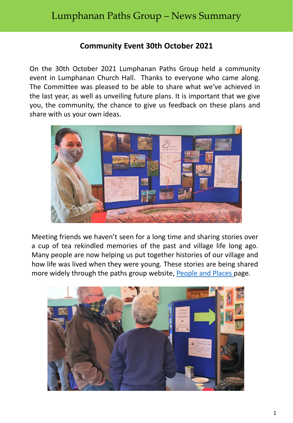## **Community Event 30th October 2021**

On the 30th October 2021 Lumphanan Paths Group held a community event in Lumphanan Church Hall. Thanks to everyone who came along. The Committee was pleased to be able to share what we've achieved in the last year, as well as unveiling future plans. It is important that we give you, the community, the chance to give us feedback on these plans and share with us your own ideas.



Meeting friends we haven't seen for a long time and sharing stories over a cup of tea rekindled memories of the past and village life long ago. Many people are now helping us put together histories of our village and how life was lived when they were young. These stories are being shared more widely through the paths group website, [People](https://www.lumphananpaths.org/peopleandplaces) and Places page.